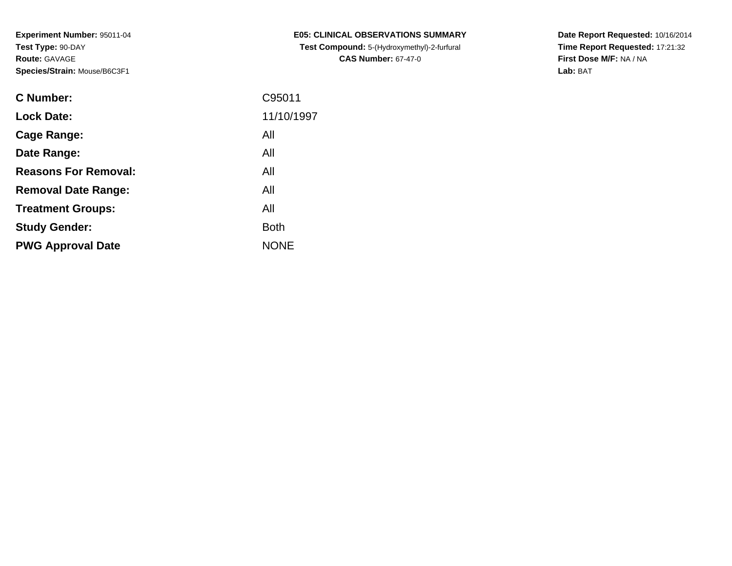| <b>C Number:</b>            | C95011      |
|-----------------------------|-------------|
| <b>Lock Date:</b>           | 11/10/1997  |
| <b>Cage Range:</b>          | All         |
| Date Range:                 | All         |
| <b>Reasons For Removal:</b> | All         |
| <b>Removal Date Range:</b>  | All         |
| <b>Treatment Groups:</b>    | All         |
| <b>Study Gender:</b>        | <b>Both</b> |
| <b>PWG Approval Date</b>    | <b>NONE</b> |
|                             |             |

**E05: CLINICAL OBSERVATIONS SUMMARY Test Compound:** 5-(Hydroxymethyl)-2-furfural **CAS Number:** 67-47-0

**Date Report Requested:** 10/16/2014 **Time Report Requested:** 17:21:32**First Dose M/F:** NA / NA**Lab:** BAT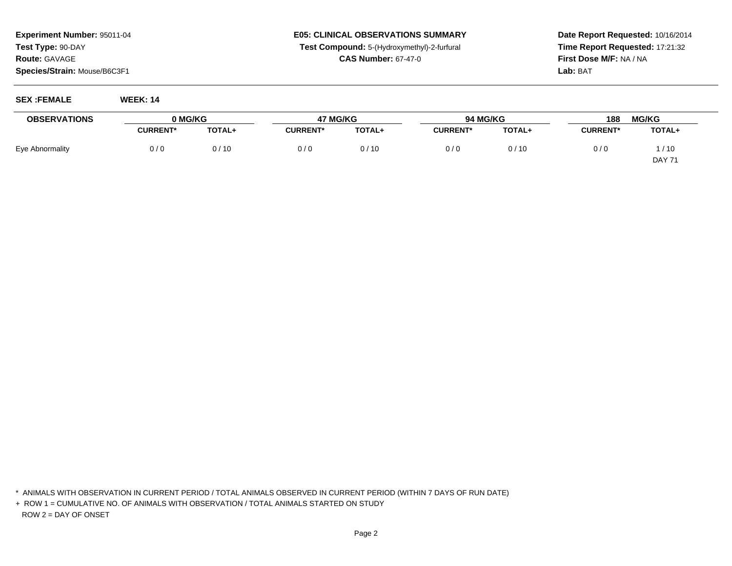# **E05: CLINICAL OBSERVATIONS SUMMARYTest Compound:** 5-(Hydroxymethyl)-2-furfural

**CAS Number:** 67-47-0

**Date Report Requested:** 10/16/2014**Time Report Requested:** 17:21:32**First Dose M/F:** NA / NA**Lab:** BAT

#### **SEX :FEMALE WEEK: 14**

| <b>OBSERVATIONS</b> | 0 MG/KG         |               | 47 MG/KG        |        | 94 MG/KG        |        | 188             | <b>MG/KG</b>  |
|---------------------|-----------------|---------------|-----------------|--------|-----------------|--------|-----------------|---------------|
|                     | <b>CURRENT*</b> | <b>TOTAL+</b> | <b>CURRENT*</b> | TOTAL+ | <b>CURRENT*</b> | TOTAL+ | <b>CURRENT*</b> | TOTAL+        |
| Eye Abnormality     | 0/0             | 0/10          | 0/6             | 0/10   | 0/0             | 0/10   | 0/0             | 1/10          |
|                     |                 |               |                 |        |                 |        |                 | <b>DAY 71</b> |

\* ANIMALS WITH OBSERVATION IN CURRENT PERIOD / TOTAL ANIMALS OBSERVED IN CURRENT PERIOD (WITHIN 7 DAYS OF RUN DATE)

+ ROW 1 = CUMULATIVE NO. OF ANIMALS WITH OBSERVATION / TOTAL ANIMALS STARTED ON STUDYROW 2 = DAY OF ONSET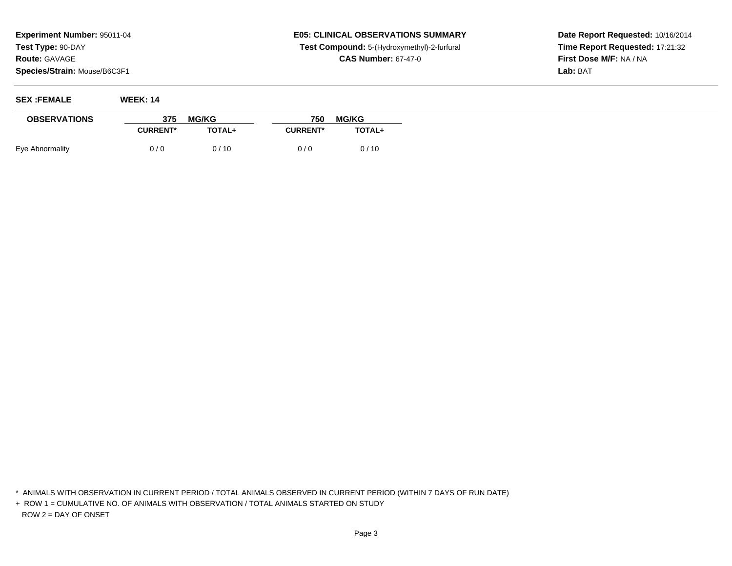# **E05: CLINICAL OBSERVATIONS SUMMARYTest Compound:** 5-(Hydroxymethyl)-2-furfural

**CAS Number:** 67-47-0

**Date Report Requested:** 10/16/2014**Time Report Requested:** 17:21:32**First Dose M/F:** NA / NA**Lab:** BAT

| <b>SEX :FEMALE</b>  | <b>WEEK: 14</b> |               |                 |               |
|---------------------|-----------------|---------------|-----------------|---------------|
| <b>OBSERVATIONS</b> | 375             | <b>MG/KG</b>  | 750             | <b>MG/KG</b>  |
|                     | <b>CURRENT*</b> | <b>TOTAL+</b> | <b>CURRENT*</b> | <b>TOTAL+</b> |
| Eye Abnormality     | 0/0             | 0/10          | 0/0             | 0/10          |

\* ANIMALS WITH OBSERVATION IN CURRENT PERIOD / TOTAL ANIMALS OBSERVED IN CURRENT PERIOD (WITHIN 7 DAYS OF RUN DATE)

+ ROW 1 = CUMULATIVE NO. OF ANIMALS WITH OBSERVATION / TOTAL ANIMALS STARTED ON STUDYROW 2 = DAY OF ONSET